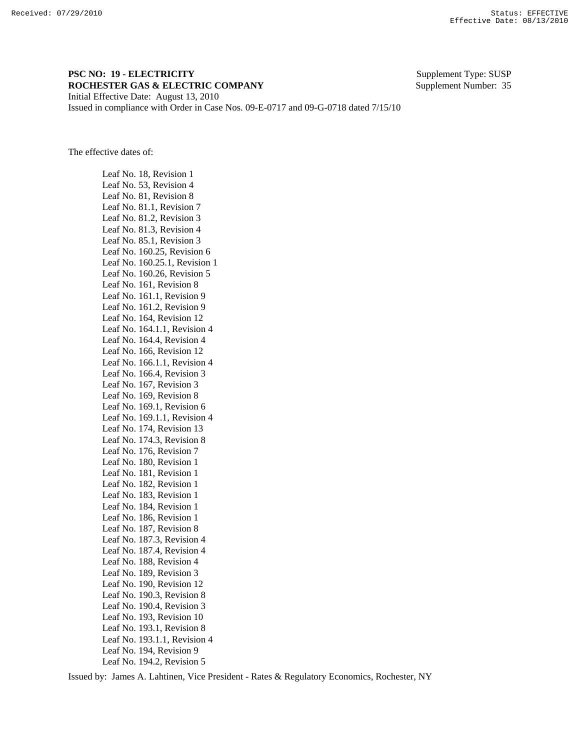## **PSC NO: 19 - ELECTRICITY** Supplement Type: SUSP **ROCHESTER GAS & ELECTRIC COMPANY** Supplement Number: 35 Initial Effective Date: August 13, 2010

Issued in compliance with Order in Case Nos. 09-E-0717 and 09-G-0718 dated 7/15/10

The effective dates of:

 Leaf No. 18, Revision 1 Leaf No. 53, Revision 4 Leaf No. 81, Revision 8 Leaf No. 81.1, Revision 7 Leaf No. 81.2, Revision 3 Leaf No. 81.3, Revision 4 Leaf No. 85.1, Revision 3 Leaf No. 160.25, Revision 6 Leaf No. 160.25.1, Revision 1 Leaf No. 160.26, Revision 5 Leaf No. 161, Revision 8 Leaf No. 161.1, Revision 9 Leaf No. 161.2, Revision 9 Leaf No. 164, Revision 12 Leaf No. 164.1.1, Revision 4 Leaf No. 164.4, Revision 4 Leaf No. 166, Revision 12 Leaf No. 166.1.1, Revision 4 Leaf No. 166.4, Revision 3 Leaf No. 167, Revision 3 Leaf No. 169, Revision 8 Leaf No. 169.1, Revision 6 Leaf No. 169.1.1, Revision 4 Leaf No. 174, Revision 13 Leaf No. 174.3, Revision 8 Leaf No. 176, Revision 7 Leaf No. 180, Revision 1 Leaf No. 181, Revision 1 Leaf No. 182, Revision 1 Leaf No. 183, Revision 1 Leaf No. 184, Revision 1 Leaf No. 186, Revision 1 Leaf No. 187, Revision 8 Leaf No. 187.3, Revision 4 Leaf No. 187.4, Revision 4 Leaf No. 188, Revision 4 Leaf No. 189, Revision 3 Leaf No. 190, Revision 12 Leaf No. 190.3, Revision 8 Leaf No. 190.4, Revision 3 Leaf No. 193, Revision 10 Leaf No. 193.1, Revision 8 Leaf No. 193.1.1, Revision 4 Leaf No. 194, Revision 9 Leaf No. 194.2, Revision 5

Issued by: James A. Lahtinen, Vice President - Rates & Regulatory Economics, Rochester, NY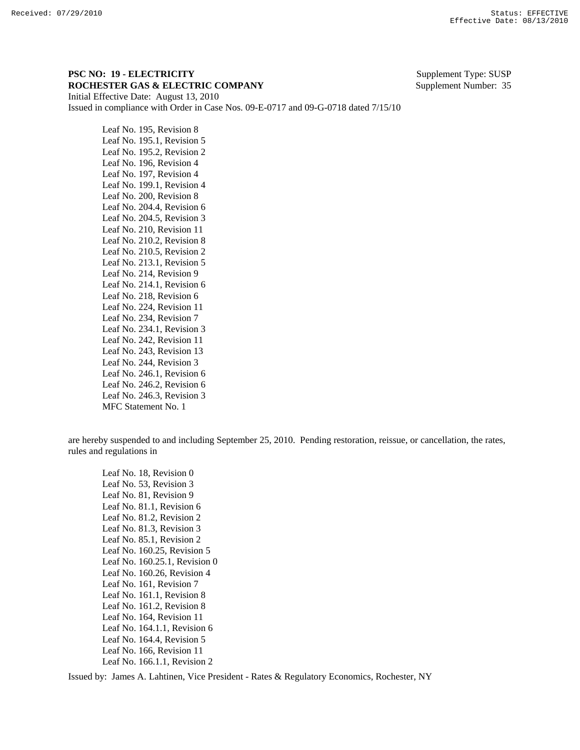## **PSC NO: 19 - ELECTRICITY** Supplement Type: SUSP **ROCHESTER GAS & ELECTRIC COMPANY** Supplement Number: 35 Initial Effective Date: August 13, 2010

Issued in compliance with Order in Case Nos. 09-E-0717 and 09-G-0718 dated 7/15/10

 Leaf No. 195, Revision 8 Leaf No. 195.1, Revision 5 Leaf No. 195.2, Revision 2 Leaf No. 196, Revision 4 Leaf No. 197, Revision 4 Leaf No. 199.1, Revision 4 Leaf No. 200, Revision 8 Leaf No. 204.4, Revision 6 Leaf No. 204.5, Revision 3 Leaf No. 210, Revision 11 Leaf No. 210.2, Revision 8 Leaf No. 210.5, Revision 2 Leaf No. 213.1, Revision 5 Leaf No. 214, Revision 9 Leaf No. 214.1, Revision 6 Leaf No. 218, Revision 6 Leaf No. 224, Revision 11 Leaf No. 234, Revision 7 Leaf No. 234.1, Revision 3 Leaf No. 242, Revision 11 Leaf No. 243, Revision 13 Leaf No. 244, Revision 3 Leaf No. 246.1, Revision 6 Leaf No. 246.2, Revision 6 Leaf No. 246.3, Revision 3 MFC Statement No. 1

are hereby suspended to and including September 25, 2010. Pending restoration, reissue, or cancellation, the rates, rules and regulations in

 Leaf No. 18, Revision 0 Leaf No. 53, Revision 3 Leaf No. 81, Revision 9 Leaf No. 81.1, Revision 6 Leaf No. 81.2, Revision 2 Leaf No. 81.3, Revision 3 Leaf No. 85.1, Revision 2 Leaf No. 160.25, Revision 5 Leaf No. 160.25.1, Revision 0 Leaf No. 160.26, Revision 4 Leaf No. 161, Revision 7 Leaf No. 161.1, Revision 8 Leaf No. 161.2, Revision 8 Leaf No. 164, Revision 11 Leaf No. 164.1.1, Revision 6 Leaf No. 164.4, Revision 5 Leaf No. 166, Revision 11 Leaf No. 166.1.1, Revision 2

Issued by: James A. Lahtinen, Vice President - Rates & Regulatory Economics, Rochester, NY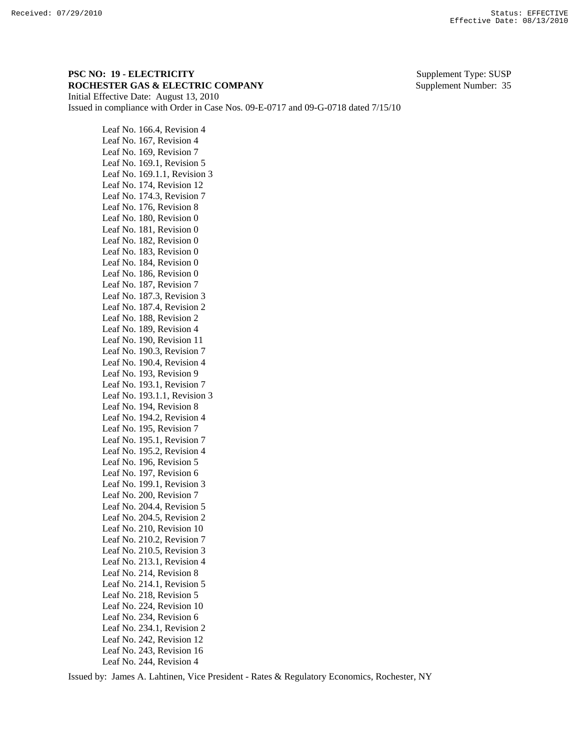## **PSC NO: 19 - ELECTRICITY** Supplement Type: SUSP **ROCHESTER GAS & ELECTRIC COMPANY** Supplement Number: 35 Initial Effective Date: August 13, 2010

Issued in compliance with Order in Case Nos. 09-E-0717 and 09-G-0718 dated 7/15/10

 Leaf No. 166.4, Revision 4 Leaf No. 167, Revision 4 Leaf No. 169, Revision 7 Leaf No. 169.1, Revision 5 Leaf No. 169.1.1, Revision 3 Leaf No. 174, Revision 12 Leaf No. 174.3, Revision 7 Leaf No. 176, Revision 8 Leaf No. 180, Revision 0 Leaf No. 181, Revision 0 Leaf No. 182, Revision 0 Leaf No. 183, Revision 0 Leaf No. 184, Revision 0 Leaf No. 186, Revision 0 Leaf No. 187, Revision 7 Leaf No. 187.3, Revision 3 Leaf No. 187.4, Revision 2 Leaf No. 188, Revision 2 Leaf No. 189, Revision 4 Leaf No. 190, Revision 11 Leaf No. 190.3, Revision 7 Leaf No. 190.4, Revision 4 Leaf No. 193, Revision 9 Leaf No. 193.1, Revision 7 Leaf No. 193.1.1, Revision 3 Leaf No. 194, Revision 8 Leaf No. 194.2, Revision 4 Leaf No. 195, Revision 7 Leaf No. 195.1, Revision 7 Leaf No. 195.2, Revision 4 Leaf No. 196, Revision 5 Leaf No. 197, Revision 6 Leaf No. 199.1, Revision 3 Leaf No. 200, Revision 7 Leaf No. 204.4, Revision 5 Leaf No. 204.5, Revision 2 Leaf No. 210, Revision 10 Leaf No. 210.2, Revision 7 Leaf No. 210.5, Revision 3 Leaf No. 213.1, Revision 4 Leaf No. 214, Revision 8 Leaf No. 214.1, Revision 5 Leaf No. 218, Revision 5 Leaf No. 224, Revision 10 Leaf No. 234, Revision 6 Leaf No. 234.1, Revision 2 Leaf No. 242, Revision 12 Leaf No. 243, Revision 16 Leaf No. 244, Revision 4

Issued by: James A. Lahtinen, Vice President - Rates & Regulatory Economics, Rochester, NY